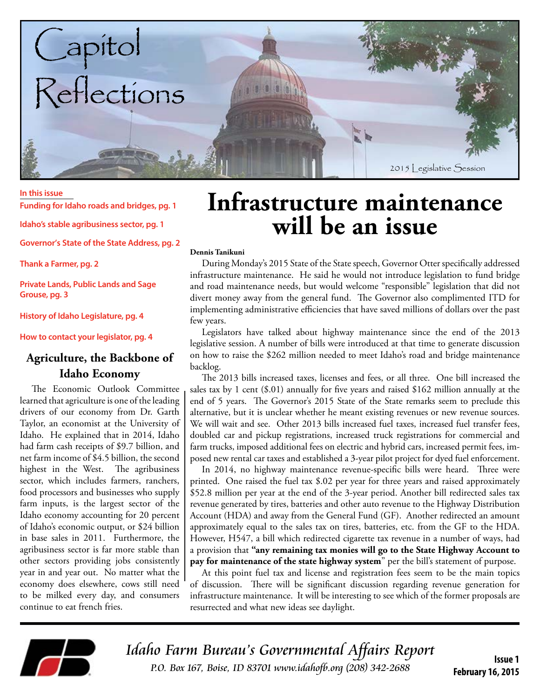

#### **In this issue**

**Funding for Idaho roads and bridges, pg. 1**

**Idaho's stable agribusiness sector, pg. 1**

**Governor's State of the State Address, pg. 2**

**Thank a Farmer, pg. 2**

**Private Lands, Public Lands and Sage Grouse, pg. 3**

**History of Idaho Legislature, pg. 4**

**How to contact your legislator, pg. 4**

### **Agriculture, the Backbone of Idaho Economy**

The Economic Outlook Committee learned that agriculture is one of the leading drivers of our economy from Dr. Garth Taylor, an economist at the University of Idaho. He explained that in 2014, Idaho had farm cash receipts of \$9.7 billion, and net farm income of \$4.5 billion, the second highest in the West. The agribusiness sector, which includes farmers, ranchers, food processors and businesses who supply farm inputs, is the largest sector of the Idaho economy accounting for 20 percent of Idaho's economic output, or \$24 billion in base sales in 2011. Furthermore, the agribusiness sector is far more stable than other sectors providing jobs consistently year in and year out. No matter what the economy does elsewhere, cows still need to be milked every day, and consumers continue to eat french fries.

## **Infrastructure maintenance will be an issue**

#### **Dennis Tanikuni**

During Monday's 2015 State of the State speech, Governor Otter specifically addressed infrastructure maintenance. He said he would not introduce legislation to fund bridge and road maintenance needs, but would welcome "responsible" legislation that did not divert money away from the general fund. The Governor also complimented ITD for implementing administrative efficiencies that have saved millions of dollars over the past few years.

Legislators have talked about highway maintenance since the end of the 2013 legislative session. A number of bills were introduced at that time to generate discussion on how to raise the \$262 million needed to meet Idaho's road and bridge maintenance backlog.

The 2013 bills increased taxes, licenses and fees, or all three. One bill increased the sales tax by 1 cent (\$.01) annually for five years and raised \$162 million annually at the end of 5 years. The Governor's 2015 State of the State remarks seem to preclude this alternative, but it is unclear whether he meant existing revenues or new revenue sources. We will wait and see. Other 2013 bills increased fuel taxes, increased fuel transfer fees, doubled car and pickup registrations, increased truck registrations for commercial and farm trucks, imposed additional fees on electric and hybrid cars, increased permit fees, imposed new rental car taxes and established a 3-year pilot project for dyed fuel enforcement.

In 2014, no highway maintenance revenue-specific bills were heard. Three were printed. One raised the fuel tax \$.02 per year for three years and raised approximately \$52.8 million per year at the end of the 3-year period. Another bill redirected sales tax revenue generated by tires, batteries and other auto revenue to the Highway Distribution Account (HDA) and away from the General Fund (GF). Another redirected an amount approximately equal to the sales tax on tires, batteries, etc. from the GF to the HDA. However, H547, a bill which redirected cigarette tax revenue in a number of ways, had a provision that **"any remaining tax monies will go to the State Highway Account to pay for maintenance of the state highway system**" per the bill's statement of purpose.

At this point fuel tax and license and registration fees seem to be the main topics of discussion. There will be significant discussion regarding revenue generation for infrastructure maintenance. It will be interesting to see which of the former proposals are resurrected and what new ideas see daylight.



Idaho Farm Bureau's Governmental Affairs Report **ISSUE 1**<br>ISSUE 1 ISSUE 1 R.O. Box 167, Boise, ID 83701 www.idahofb.org (208) 342-2688

**February 16, 2015**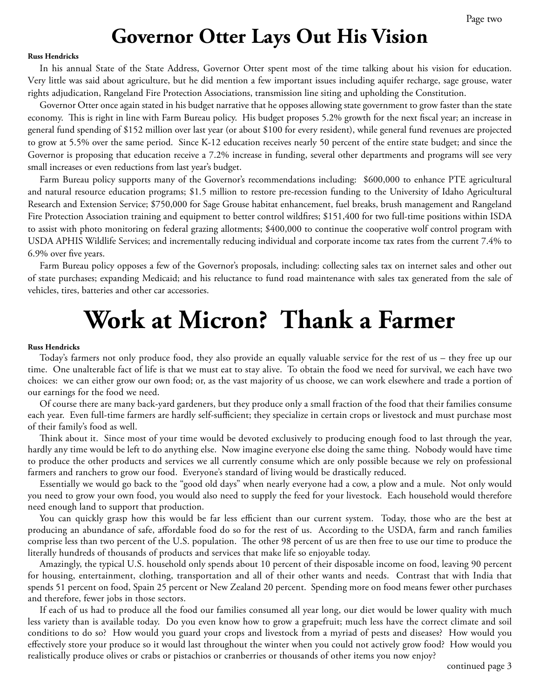### **Governor Otter Lays Out His Vision**

#### **Russ Hendricks**

In his annual State of the State Address, Governor Otter spent most of the time talking about his vision for education. Very little was said about agriculture, but he did mention a few important issues including aquifer recharge, sage grouse, water rights adjudication, Rangeland Fire Protection Associations, transmission line siting and upholding the Constitution.

Governor Otter once again stated in his budget narrative that he opposes allowing state government to grow faster than the state economy. This is right in line with Farm Bureau policy. His budget proposes 5.2% growth for the next fiscal year; an increase in general fund spending of \$152 million over last year (or about \$100 for every resident), while general fund revenues are projected to grow at 5.5% over the same period. Since K-12 education receives nearly 50 percent of the entire state budget; and since the Governor is proposing that education receive a 7.2% increase in funding, several other departments and programs will see very small increases or even reductions from last year's budget.

Farm Bureau policy supports many of the Governor's recommendations including: \$600,000 to enhance PTE agricultural and natural resource education programs; \$1.5 million to restore pre-recession funding to the University of Idaho Agricultural Research and Extension Service; \$750,000 for Sage Grouse habitat enhancement, fuel breaks, brush management and Rangeland Fire Protection Association training and equipment to better control wildfires; \$151,400 for two full-time positions within ISDA to assist with photo monitoring on federal grazing allotments; \$400,000 to continue the cooperative wolf control program with USDA APHIS Wildlife Services; and incrementally reducing individual and corporate income tax rates from the current 7.4% to 6.9% over five years.

Farm Bureau policy opposes a few of the Governor's proposals, including: collecting sales tax on internet sales and other out of state purchases; expanding Medicaid; and his reluctance to fund road maintenance with sales tax generated from the sale of vehicles, tires, batteries and other car accessories.

## **Work at Micron? Thank a Farmer**

#### **Russ Hendricks**

Today's farmers not only produce food, they also provide an equally valuable service for the rest of us – they free up our time. One unalterable fact of life is that we must eat to stay alive. To obtain the food we need for survival, we each have two choices: we can either grow our own food; or, as the vast majority of us choose, we can work elsewhere and trade a portion of our earnings for the food we need.

Of course there are many back-yard gardeners, but they produce only a small fraction of the food that their families consume each year. Even full-time farmers are hardly self-sufficient; they specialize in certain crops or livestock and must purchase most of their family's food as well.

Think about it. Since most of your time would be devoted exclusively to producing enough food to last through the year, hardly any time would be left to do anything else. Now imagine everyone else doing the same thing. Nobody would have time to produce the other products and services we all currently consume which are only possible because we rely on professional farmers and ranchers to grow our food. Everyone's standard of living would be drastically reduced.

Essentially we would go back to the "good old days" when nearly everyone had a cow, a plow and a mule. Not only would you need to grow your own food, you would also need to supply the feed for your livestock. Each household would therefore need enough land to support that production.

You can quickly grasp how this would be far less efficient than our current system. Today, those who are the best at producing an abundance of safe, affordable food do so for the rest of us. According to the USDA, farm and ranch families comprise less than two percent of the U.S. population. The other 98 percent of us are then free to use our time to produce the literally hundreds of thousands of products and services that make life so enjoyable today.

Amazingly, the typical U.S. household only spends about 10 percent of their disposable income on food, leaving 90 percent for housing, entertainment, clothing, transportation and all of their other wants and needs. Contrast that with India that spends 51 percent on food, Spain 25 percent or New Zealand 20 percent. Spending more on food means fewer other purchases and therefore, fewer jobs in those sectors.

If each of us had to produce all the food our families consumed all year long, our diet would be lower quality with much less variety than is available today. Do you even know how to grow a grapefruit; much less have the correct climate and soil conditions to do so? How would you guard your crops and livestock from a myriad of pests and diseases? How would you effectively store your produce so it would last throughout the winter when you could not actively grow food? How would you realistically produce olives or crabs or pistachios or cranberries or thousands of other items you now enjoy?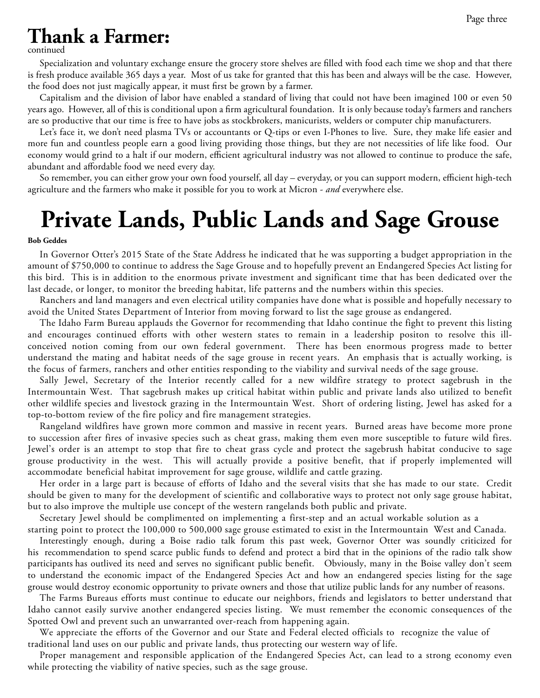### **Thank a Farmer:**

continued

Specialization and voluntary exchange ensure the grocery store shelves are filled with food each time we shop and that there is fresh produce available 365 days a year. Most of us take for granted that this has been and always will be the case. However, the food does not just magically appear, it must first be grown by a farmer.

Capitalism and the division of labor have enabled a standard of living that could not have been imagined 100 or even 50 years ago. However, all of this is conditional upon a firm agricultural foundation. It is only because today's farmers and ranchers are so productive that our time is free to have jobs as stockbrokers, manicurists, welders or computer chip manufacturers.

Let's face it, we don't need plasma TVs or accountants or Q-tips or even I-Phones to live. Sure, they make life easier and more fun and countless people earn a good living providing those things, but they are not necessities of life like food. Our economy would grind to a halt if our modern, efficient agricultural industry was not allowed to continue to produce the safe, abundant and affordable food we need every day.

So remember, you can either grow your own food yourself, all day – everyday, or you can support modern, efficient high-tech agriculture and the farmers who make it possible for you to work at Micron - *and* everywhere else.

# **Private Lands, Public Lands and Sage Grouse**

#### **Bob Geddes**

In Governor Otter's 2015 State of the State Address he indicated that he was supporting a budget appropriation in the amount of \$750,000 to continue to address the Sage Grouse and to hopefully prevent an Endangered Species Act listing for this bird. This is in addition to the enormous private investment and significant time that has been dedicated over the last decade, or longer, to monitor the breeding habitat, life patterns and the numbers within this species.

Ranchers and land managers and even electrical utility companies have done what is possible and hopefully necessary to avoid the United States Department of Interior from moving forward to list the sage grouse as endangered.

The Idaho Farm Bureau applauds the Governor for recommending that Idaho continue the fight to prevent this listing and encourages continued efforts with other western states to remain in a leadership positon to resolve this illconceived notion coming from our own federal government. There has been enormous progress made to better understand the mating and habitat needs of the sage grouse in recent years. An emphasis that is actually working, is the focus of farmers, ranchers and other entities responding to the viability and survival needs of the sage grouse.

Sally Jewel, Secretary of the Interior recently called for a new wildfire strategy to protect sagebrush in the Intermountain West. That sagebrush makes up critical habitat within public and private lands also utilized to benefit other wildlife species and livestock grazing in the Intermountain West. Short of ordering listing, Jewel has asked for a top-to-bottom review of the fire policy and fire management strategies.

Rangeland wildfires have grown more common and massive in recent years. Burned areas have become more prone to succession after fires of invasive species such as cheat grass, making them even more susceptible to future wild fires. Jewel's order is an attempt to stop that fire to cheat grass cycle and protect the sagebrush habitat conducive to sage grouse productivity in the west. This will actually provide a positive benefit, that if properly implemented will accommodate beneficial habitat improvement for sage grouse, wildlife and cattle grazing.

Her order in a large part is because of efforts of Idaho and the several visits that she has made to our state. Credit should be given to many for the development of scientific and collaborative ways to protect not only sage grouse habitat, but to also improve the multiple use concept of the western rangelands both public and private.

Secretary Jewel should be complimented on implementing a first-step and an actual workable solution as a

starting point to protect the 100,000 to 500,000 sage grouse estimated to exist in the Intermountain West and Canada. Interestingly enough, during a Boise radio talk forum this past week, Governor Otter was soundly criticized for his recommendation to spend scarce public funds to defend and protect a bird that in the opinions of the radio talk show participants has outlived its need and serves no significant public benefit. Obviously, many in the Boise valley don't seem to understand the economic impact of the Endangered Species Act and how an endangered species listing for the sage grouse would destroy economic opportunity to private owners and those that utilize public lands for any number of reasons.

The Farms Bureaus efforts must continue to educate our neighbors, friends and legislators to better understand that Idaho cannot easily survive another endangered species listing. We must remember the economic consequences of the Spotted Owl and prevent such an unwarranted over-reach from happening again.

We appreciate the efforts of the Governor and our State and Federal elected officials to recognize the value of traditional land uses on our public and private lands, thus protecting our western way of life.

Proper management and responsible application of the Endangered Species Act, can lead to a strong economy even while protecting the viability of native species, such as the sage grouse.